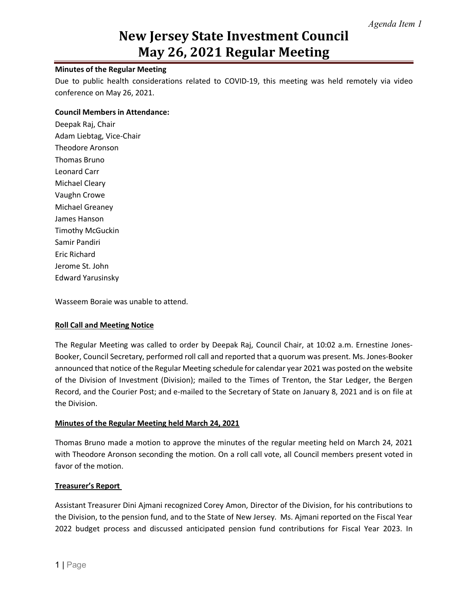#### **Minutes of the Regular Meeting**

Due to public health considerations related to COVID-19, this meeting was held remotely via video conference on May 26, 2021.

#### **Council Members in Attendance:**

Deepak Raj, Chair Adam Liebtag, Vice-Chair Theodore Aronson Thomas Bruno Leonard Carr Michael Cleary Vaughn Crowe Michael Greaney James Hanson Timothy McGuckin Samir Pandiri Eric Richard Jerome St. John Edward Yarusinsky

Wasseem Boraie was unable to attend.

#### **Roll Call and Meeting Notice**

The Regular Meeting was called to order by Deepak Raj, Council Chair, at 10:02 a.m. Ernestine Jones-Booker, Council Secretary, performed roll call and reported that a quorum was present. Ms. Jones-Booker announced that notice of the Regular Meeting schedule for calendar year 2021 was posted on the website of the Division of Investment (Division); mailed to the Times of Trenton, the Star Ledger, the Bergen Record, and the Courier Post; and e-mailed to the Secretary of State on January 8, 2021 and is on file at the Division.

#### **Minutes of the Regular Meeting held March 24, 2021**

Thomas Bruno made a motion to approve the minutes of the regular meeting held on March 24, 2021 with Theodore Aronson seconding the motion. On a roll call vote, all Council members present voted in favor of the motion.

#### **Treasurer's Report**

Assistant Treasurer Dini Ajmani recognized Corey Amon, Director of the Division, for his contributions to the Division, to the pension fund, and to the State of New Jersey. Ms. Ajmani reported on the Fiscal Year 2022 budget process and discussed anticipated pension fund contributions for Fiscal Year 2023. In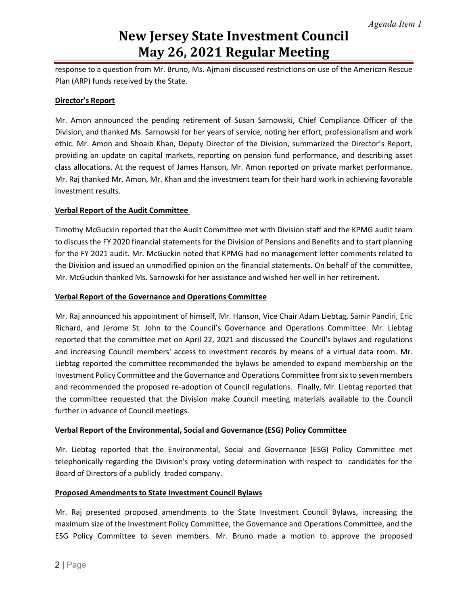response to a question from Mr. Bruno, Ms. Ajmani discussed restrictions on use of the American Rescue Plan (ARP) funds received by the State.

#### **Director's Report**

Mr. Amon announced the pending retirement of Susan Sarnowski, Chief Compliance Officer of the Division, and thanked Ms. Sarnowski for her years of service, noting her effort, professionalism and work ethic. Mr. Amon and Shoaib Khan, Deputy Director of the Division, summarized the Director's Report, providing an update on capital markets, reporting on pension fund performance, and describing asset class allocations. At the request of James Hanson, Mr. Amon reported on private market performance. Mr. Raj thanked Mr. Amon, Mr. Khan and the investment team for their hard work in achieving favorable investment results.

### **Verbal Report of the Audit Committee**

Timothy McGuckin reported that the Audit Committee met with Division staff and the KPMG audit team to discuss the FY 2020 financial statements for the Division of Pensions and Benefits and to start planning for the FY 2021 audit. Mr. McGuckin noted that KPMG had no management letter comments related to the Division and issued an unmodified opinion on the financial statements. On behalf of the committee, Mr. McGuckin thanked Ms. Sarnowski for her assistance and wished her well in her retirement.

#### **Verbal Report of the Governance and Operations Committee**

Mr. Raj announced his appointment of himself, Mr. Hanson, Vice Chair Adam Liebtag, Samir Pandiri, Eric Richard, and Jerome St. John to the Council's Governance and Operations Committee. Mr. Liebtag reported that the committee met on April 22, 2021 and discussed the Council's bylaws and regulations and increasing Council members' access to investment records by means of a virtual data room. Mr. Liebtag reported the committee recommended the bylaws be amended to expand membership on the Investment Policy Committee and the Governance and Operations Committee from six to seven members and recommended the proposed re-adoption of Council regulations. Finally, Mr. Liebtag reported that the committee requested that the Division make Council meeting materials available to the Council further in advance of Council meetings.

#### **Verbal Report of the Environmental, Social and Governance (ESG) Policy Committee**

Mr. Liebtag reported that the Environmental, Social and Governance (ESG) Policy Committee met telephonically regarding the Division's proxy voting determination with respect to candidates for the Board of Directors of a publicly traded company.

#### **Proposed Amendments to State Investment Council Bylaws**

Mr. Raj presented proposed amendments to the State Investment Council Bylaws, increasing the maximum size of the Investment Policy Committee, the Governance and Operations Committee, and the ESG Policy Committee to seven members. Mr. Bruno made a motion to approve the proposed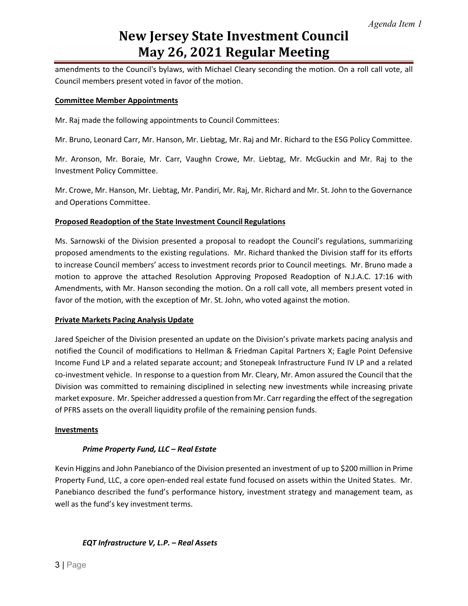amendments to the Council's bylaws, with Michael Cleary seconding the motion. On a roll call vote, all Council members present voted in favor of the motion.

#### **Committee Member Appointments**

Mr. Raj made the following appointments to Council Committees:

Mr. Bruno, Leonard Carr, Mr. Hanson, Mr. Liebtag, Mr. Raj and Mr. Richard to the ESG Policy Committee.

Mr. Aronson, Mr. Boraie, Mr. Carr, Vaughn Crowe, Mr. Liebtag, Mr. McGuckin and Mr. Raj to the Investment Policy Committee.

Mr. Crowe, Mr. Hanson, Mr. Liebtag, Mr. Pandiri, Mr. Raj, Mr. Richard and Mr. St. John to the Governance and Operations Committee.

#### **Proposed Readoption of the State Investment Council Regulations**

Ms. Sarnowski of the Division presented a proposal to readopt the Council's regulations, summarizing proposed amendments to the existing regulations. Mr. Richard thanked the Division staff for its efforts to increase Council members' access to investment records prior to Council meetings. Mr. Bruno made a motion to approve the attached Resolution Approving Proposed Readoption of N.J.A.C. 17:16 with Amendments, with Mr. Hanson seconding the motion. On a roll call vote, all members present voted in favor of the motion, with the exception of Mr. St. John, who voted against the motion.

#### **Private Markets Pacing Analysis Update**

Jared Speicher of the Division presented an update on the Division's private markets pacing analysis and notified the Council of modifications to Hellman & Friedman Capital Partners X; Eagle Point Defensive Income Fund LP and a related separate account; and Stonepeak Infrastructure Fund IV LP and a related co-investment vehicle. In response to a question from Mr. Cleary, Mr. Amon assured the Council that the Division was committed to remaining disciplined in selecting new investments while increasing private market exposure. Mr. Speicher addressed a question from Mr. Carr regarding the effect of the segregation of PFRS assets on the overall liquidity profile of the remaining pension funds.

#### **Investments**

#### *Prime Property Fund, LLC – Real Estate*

Kevin Higgins and John Panebianco of the Division presented an investment of up to \$200 million in Prime Property Fund, LLC, a core open-ended real estate fund focused on assets within the United States. Mr. Panebianco described the fund's performance history, investment strategy and management team, as well as the fund's key investment terms.

#### *EQT Infrastructure V, L.P. – Real Assets*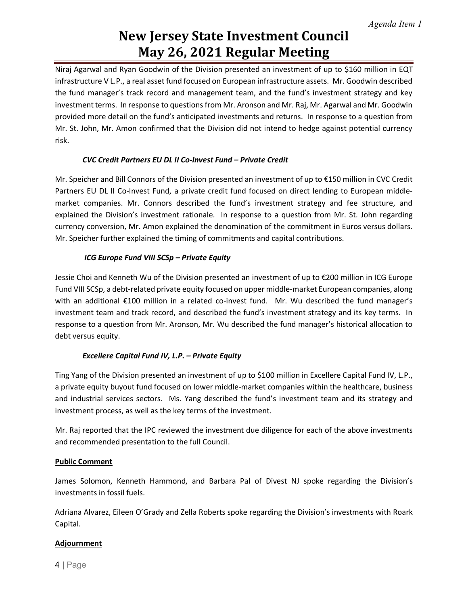Niraj Agarwal and Ryan Goodwin of the Division presented an investment of up to \$160 million in EQT infrastructure V L.P., a real asset fund focused on European infrastructure assets. Mr. Goodwin described the fund manager's track record and management team, and the fund's investment strategy and key investment terms. In response to questions from Mr. Aronson and Mr. Raj, Mr. Agarwal and Mr. Goodwin provided more detail on the fund's anticipated investments and returns. In response to a question from Mr. St. John, Mr. Amon confirmed that the Division did not intend to hedge against potential currency risk.

### *CVC Credit Partners EU DL II Co-Invest Fund – Private Credit*

Mr. Speicher and Bill Connors of the Division presented an investment of up to €150 million in CVC Credit Partners EU DL II Co-Invest Fund, a private credit fund focused on direct lending to European middlemarket companies. Mr. Connors described the fund's investment strategy and fee structure, and explained the Division's investment rationale. In response to a question from Mr. St. John regarding currency conversion, Mr. Amon explained the denomination of the commitment in Euros versus dollars. Mr. Speicher further explained the timing of commitments and capital contributions.

### *ICG Europe Fund VIII SCSp – Private Equity*

Jessie Choi and Kenneth Wu of the Division presented an investment of up to €200 million in ICG Europe Fund VIII SCSp, a debt-related private equity focused on upper middle-market European companies, along with an additional €100 million in a related co-invest fund. Mr. Wu described the fund manager's investment team and track record, and described the fund's investment strategy and its key terms. In response to a question from Mr. Aronson, Mr. Wu described the fund manager's historical allocation to debt versus equity.

### *Excellere Capital Fund IV, L.P. – Private Equity*

Ting Yang of the Division presented an investment of up to \$100 million in Excellere Capital Fund IV, L.P., a private equity buyout fund focused on lower middle-market companies within the healthcare, business and industrial services sectors. Ms. Yang described the fund's investment team and its strategy and investment process, as well as the key terms of the investment.

Mr. Raj reported that the IPC reviewed the investment due diligence for each of the above investments and recommended presentation to the full Council.

### **Public Comment**

James Solomon, Kenneth Hammond, and Barbara Pal of Divest NJ spoke regarding the Division's investments in fossil fuels.

Adriana Alvarez, Eileen O'Grady and Zella Roberts spoke regarding the Division's investments with Roark Capital.

## **Adjournment**